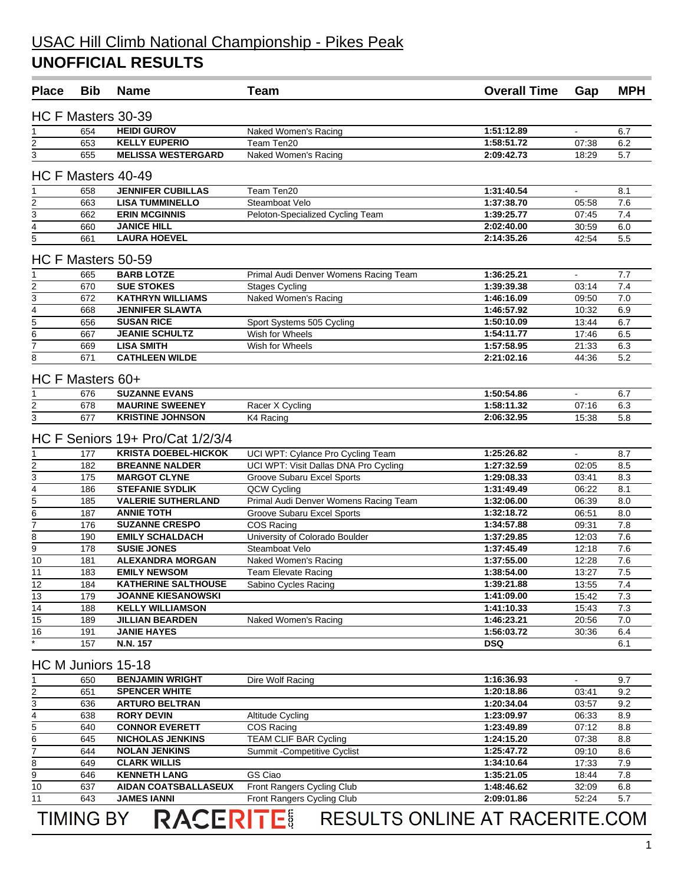| <b>Place</b>             | <b>Bib</b>       | <b>Name</b>                                        | <b>Team</b>                           | <b>Overall Time</b>      | Gap            | <b>MPH</b> |
|--------------------------|------------------|----------------------------------------------------|---------------------------------------|--------------------------|----------------|------------|
|                          |                  | HC F Masters 30-39                                 |                                       |                          |                |            |
|                          |                  | <b>HEIDI GUROV</b>                                 |                                       |                          | $\blacksquare$ |            |
| 1<br>2                   | 654<br>653       | <b>KELLY EUPERIO</b>                               | Naked Women's Racing<br>Team Ten20    | 1:51:12.89<br>1:58:51.72 | 07:38          | 6.7<br>6.2 |
| 3                        | 655              | <b>MELISSA WESTERGARD</b>                          | Naked Women's Racing                  | 2:09:42.73               | 18:29          | 5.7        |
|                          |                  |                                                    |                                       |                          |                |            |
|                          |                  | HC F Masters 40-49                                 |                                       |                          |                |            |
| $\overline{2}$           | 658<br>663       | <b>JENNIFER CUBILLAS</b><br><b>LISA TUMMINELLO</b> | Team Ten20<br>Steamboat Velo          | 1:31:40.54<br>1:37:38.70 | 05:58          | 8.1<br>7.6 |
|                          | 662              | <b>ERIN MCGINNIS</b>                               |                                       | 1:39:25.77               | 07:45          | 7.4        |
| $\frac{3}{4}$            |                  | <b>JANICE HILL</b>                                 | Peloton-Specialized Cycling Team      | 2:02:40.00               |                |            |
| 5                        | 660<br>661       | <b>LAURA HOEVEL</b>                                |                                       | 2:14:35.26               | 30:59<br>42:54 | 6.0<br>5.5 |
|                          |                  |                                                    |                                       |                          |                |            |
|                          |                  | HC F Masters 50-59                                 |                                       |                          |                |            |
| 1                        | 665              | <b>BARB LOTZE</b>                                  | Primal Audi Denver Womens Racing Team | 1:36:25.21               | $\blacksquare$ | 7.7        |
| $\overline{2}$           | 670              | <b>SUE STOKES</b>                                  | <b>Stages Cycling</b>                 | 1:39:39.38               | 03:14          | 7.4        |
| $rac{3}{4}$              | 672              | <b>KATHRYN WILLIAMS</b>                            | Naked Women's Racing                  | 1:46:16.09               | 09:50          | 7.0        |
|                          | 668              | <b>JENNIFER SLAWTA</b>                             |                                       | 1:46:57.92               | 10:32          | 6.9        |
| $\frac{5}{6}$            | 656              | <b>SUSAN RICE</b>                                  | Sport Systems 505 Cycling             | 1:50:10.09               | 13:44          | 6.7        |
|                          | 667              | <b>JEANIE SCHULTZ</b>                              | Wish for Wheels                       | 1:54:11.77               | 17:46          | 6.5        |
| $\overline{7}$           | 669              | <b>LISA SMITH</b>                                  | Wish for Wheels                       | 1:57:58.95               | 21:33          | 6.3        |
| 8                        | 671              | <b>CATHLEEN WILDE</b>                              |                                       | 2:21:02.16               | 44:36          | 5.2        |
|                          | HC F Masters 60+ |                                                    |                                       |                          |                |            |
| 1                        | 676              | <b>SUZANNE EVANS</b>                               |                                       | 1:50:54.86               | $\blacksquare$ | 6.7        |
| $\overline{2}$           | 678              | <b>MAURINE SWEENEY</b>                             | Racer X Cycling                       | 1:58:11.32               | 07:16          | 6.3        |
| $\overline{3}$           | 677              | <b>KRISTINE JOHNSON</b>                            | K4 Racing                             | 2:06:32.95               | 15:38          | 5.8        |
|                          |                  | HC F Seniors 19+ Pro/Cat 1/2/3/4                   |                                       |                          |                |            |
| 1                        | 177              | <b>KRISTA DOEBEL-HICKOK</b>                        | UCI WPT: Cylance Pro Cycling Team     | 1:25:26.82               | $\blacksquare$ | 8.7        |
| 2                        | 182              | <b>BREANNE NALDER</b>                              | UCI WPT: Visit Dallas DNA Pro Cycling | 1:27:32.59               | 02:05          | 8.5        |
| $\overline{3}$           | 175              | <b>MARGOT CLYNE</b>                                | Groove Subaru Excel Sports            | 1:29:08.33               | 03:41          | 8.3        |
| $\overline{4}$           | 186              | <b>STEFANIE SYDLIK</b>                             | QCW Cycling                           | 1:31:49.49               | 06:22          | 8.1        |
| $\overline{5}$           | 185              | <b>VALERIE SUTHERLAND</b>                          | Primal Audi Denver Womens Racing Team | 1:32:06.00               | 06:39          | 8.0        |
| $\overline{6}$           | 187              | <b>ANNIE TOTH</b>                                  | Groove Subaru Excel Sports            | 1:32:18.72               | 06:51          | 8.0        |
| $\overline{7}$           | 176              | <b>SUZANNE CRESPO</b>                              | COS Racing                            | 1:34:57.88               | 09:31          | 7.8        |
| $\overline{8}$           | 190              | <b>EMILY SCHALDACH</b>                             | University of Colorado Boulder        | 1:37:29.85               | 12:03          | 7.6        |
| $\overline{9}$           | 178              | <b>SUSIE JONES</b>                                 | Steamboat Velo                        | 1:37:45.49               | 12:18          | 7.6        |
| $\overline{10}$          | 181              | <b>ALEXANDRA MORGAN</b>                            | Naked Women's Racing                  | 1:37:55.00               | 12:28          | 7.6        |
| 11                       | 183              | <b>EMILY NEWSOM</b>                                | Team Elevate Racing                   | 1:38:54.00               | 13:27          | 7.5        |
| $\overline{12}$          | 184              | <b>KATHERINE SALTHOUSE</b>                         | Sabino Cycles Racing                  | 1:39:21.88               | 13:55          | 7.4        |
| 13                       | 179              | <b>JOANNE KIESANOWSKI</b>                          |                                       | 1:41:09.00               | 15:42          | 7.3        |
|                          |                  | <b>KELLY WILLIAMSON</b>                            |                                       | 1:41:10.33               | 15:43          | 7.3        |
| 14                       | 188              |                                                    |                                       |                          |                |            |
| 15                       | 189              | <b>JILLIAN BEARDEN</b><br><b>JANIE HAYES</b>       | Naked Women's Racing                  | 1:46:23.21<br>1:56:03.72 | 20:56          | 7.0        |
| 16<br>$\overline{\cdot}$ | 191<br>157       | N.N. 157                                           |                                       | <b>DSQ</b>               | 30:36          | 6.4<br>6.1 |
|                          |                  | HC M Juniors 15-18                                 |                                       |                          |                |            |
|                          | 650              | <b>BENJAMIN WRIGHT</b>                             |                                       | 1:16:36.93               |                |            |
| 1                        |                  |                                                    | Dire Wolf Racing                      |                          |                | 9.7        |
| $\overline{2}$           | 651              | <b>SPENCER WHITE</b>                               |                                       | 1:20:18.86               | 03:41          | 9.2        |
| $\overline{3}$           | 636              | <b>ARTURO BELTRAN</b>                              |                                       | 1:20:34.04               | 03:57          | 9.2        |
| $\overline{4}$           | 638              | <b>RORY DEVIN</b>                                  | Altitude Cycling                      | 1:23:09.97               | 06:33          | 8.9        |
| $\frac{5}{6}$            | 640              | <b>CONNOR EVERETT</b>                              | COS Racing                            | 1:23:49.89               | 07:12          | 8.8        |
|                          | 645              | <b>NICHOLAS JENKINS</b>                            | TEAM CLIF BAR Cycling                 | 1:24:15.20               | 07:38          | 8.8        |
| 7                        | 644              | <b>NOLAN JENKINS</b>                               | Summit - Competitive Cyclist          | 1:25:47.72               | 09:10          | 8.6        |
| 8                        | 649              | <b>CLARK WILLIS</b>                                |                                       | 1:34:10.64               | 17:33          | 7.9        |
| $\overline{9}$           | 646              | <b>KENNETH LANG</b>                                | GS Ciao                               | 1:35:21.05               | 18:44          | 7.8        |
| 10                       | 637              | AIDAN COATSBALLASEUX                               | Front Rangers Cycling Club            | 1:48:46.62               | 32:09          | 6.8        |
| $\overline{11}$          | 643              | <b>JAMES IANNI</b>                                 | Front Rangers Cycling Club            | 2:09:01.86               | 52:24          | 5.7        |
|                          | <b>TIMING BY</b> | <b>RACERITE!</b>                                   | RESULTS ONLINE AT RACERITE.COM        |                          |                |            |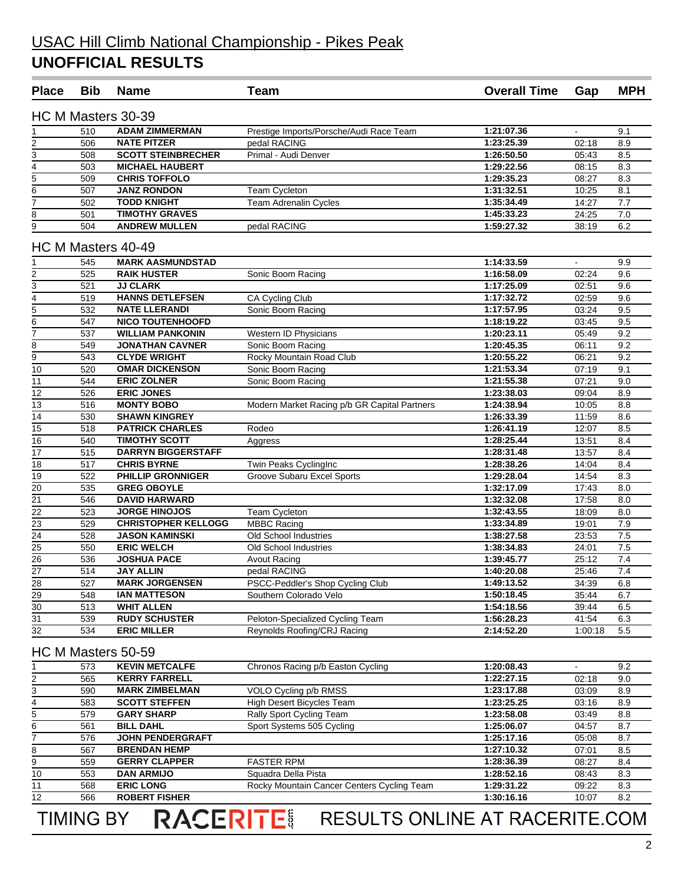**College** 

| <b>Place</b>                       | <b>Bib</b>       | <b>Name</b>                | <b>Team</b>                                         | <b>Overall Time</b>      | Gap            | <b>MPH</b> |
|------------------------------------|------------------|----------------------------|-----------------------------------------------------|--------------------------|----------------|------------|
|                                    |                  | HC M Masters 30-39         |                                                     |                          |                |            |
|                                    | 510              | <b>ADAM ZIMMERMAN</b>      | Prestige Imports/Porsche/Audi Race Team             | 1:21:07.36               |                | 9.1        |
|                                    | 506              | <b>NATE PITZER</b>         | pedal RACING                                        | 1:23:25.39               | 02:18          | 8.9        |
| $\frac{2}{3}$                      | 508              | <b>SCOTT STEINBRECHER</b>  | Primal - Audi Denver                                | 1:26:50.50               | 05:43          | 8.5        |
| $\overline{4}$                     | 503              | <b>MICHAEL HAUBERT</b>     |                                                     | 1:29:22.56               | 08:15          | 8.3        |
|                                    | 509              | <b>CHRIS TOFFOLO</b>       |                                                     | 1:29:35.23               | 08:27          | 8.3        |
| $\frac{5}{6}$                      | 507              | <b>JANZ RONDON</b>         | <b>Team Cycleton</b>                                | 1:31:32.51               | 10:25          | 8.1        |
| $\overline{7}$                     | 502              | <b>TODD KNIGHT</b>         | <b>Team Adrenalin Cycles</b>                        | 1:35:34.49               | 14:27          | 7.7        |
|                                    | 501              | <b>TIMOTHY GRAVES</b>      |                                                     | 1:45:33.23               | 24:25          | 7.0        |
| $\frac{8}{9}$                      | 504              | <b>ANDREW MULLEN</b>       | pedal RACING                                        | 1:59:27.32               | 38:19          | 6.2        |
|                                    |                  | HC M Masters 40-49         |                                                     |                          |                |            |
| 1                                  | 545              | <b>MARK AASMUNDSTAD</b>    |                                                     | 1:14:33.59               | $\blacksquare$ | 9.9        |
|                                    | 525              | <b>RAIK HUSTER</b>         | Sonic Boom Racing                                   | 1:16:58.09               | 02:24          | 9.6        |
| $rac{2}{3}$                        | 521              | <b>JJ CLARK</b>            |                                                     | 1:17:25.09               | 02:51          | 9.6        |
|                                    | 519              | <b>HANNS DETLEFSEN</b>     | CA Cycling Club                                     | 1:17:32.72               | 02:59          | 9.6        |
| $\frac{4}{5}$                      | 532              | <b>NATE LLERANDI</b>       | Sonic Boom Racing                                   | 1:17:57.95               | 03:24          | 9.5        |
|                                    | 547              | <b>NICO TOUTENHOOFD</b>    |                                                     | 1:18:19.22               | 03:45          | 9.5        |
| $rac{6}{7}$                        | 537              | <b>WILLIAM PANKONIN</b>    | Western ID Physicians                               | 1:20:23.11               | 05:49          | 9.2        |
| $\overline{8}$                     | 549              | <b>JONATHAN CAVNER</b>     | Sonic Boom Racing                                   | 1:20:45.35               | 06:11          | 9.2        |
| $\overline{9}$                     | 543              | <b>CLYDE WRIGHT</b>        | Rocky Mountain Road Club                            | 1:20:55.22               | 06:21          | 9.2        |
| $\overline{10}$                    | 520              | <b>OMAR DICKENSON</b>      | Sonic Boom Racing                                   | 1:21:53.34               | 07:19          | 9.1        |
| 11                                 | 544              | <b>ERIC ZOLNER</b>         | Sonic Boom Racing                                   | 1:21:55.38               | 07:21          | 9.0        |
| $\overline{12}$                    | 526              | <b>ERIC JONES</b>          |                                                     | 1:23:38.03               | 09:04          | 8.9        |
| 13                                 | 516              | <b>MONTY BOBO</b>          | Modern Market Racing p/b GR Capital Partners        | 1:24:38.94               | 10:05          | 8.8        |
| 14                                 | 530              | <b>SHAWN KINGREY</b>       |                                                     | 1:26:33.39               | 11:59          | 8.6        |
| 15                                 | 518              | <b>PATRICK CHARLES</b>     | Rodeo                                               |                          |                | 8.5        |
| $\overline{16}$                    | 540              | <b>TIMOTHY SCOTT</b>       |                                                     | 1:26:41.19<br>1:28:25.44 | 12:07<br>13:51 | 8.4        |
| 17                                 | 515              | <b>DARRYN BIGGERSTAFF</b>  | Aggress                                             | 1:28:31.48               |                | 8.4        |
| 18                                 | 517              | <b>CHRIS BYRNE</b>         |                                                     | 1:28:38.26               | 13:57<br>14:04 | 8.4        |
| $\overline{19}$                    | 522              | <b>PHILLIP GRONNIGER</b>   | Twin Peaks CyclingInc<br>Groove Subaru Excel Sports | 1:29:28.04               | 14:54          | 8.3        |
| $\overline{20}$                    |                  | <b>GREG OBOYLE</b>         |                                                     | 1:32:17.09               |                | 8.0        |
| $\overline{21}$                    | 535<br>546       | <b>DAVID HARWARD</b>       |                                                     |                          | 17:43<br>17:58 | 8.0        |
|                                    |                  |                            |                                                     | 1:32:32.08               |                |            |
| $\overline{22}$<br>$\overline{23}$ | 523              | <b>JORGE HINOJOS</b>       | Team Cycleton                                       | 1:32:43.55               | 18:09          | 8.0        |
|                                    | 529              | <b>CHRISTOPHER KELLOGG</b> | <b>MBBC Racing</b>                                  | 1:33:34.89               | 19:01          | 7.9        |
| $\overline{24}$                    | 528              | <b>JASON KAMINSKI</b>      | Old School Industries                               | 1:38:27.58               | 23:53          | 7.5        |
| $\overline{25}$                    | 550              | <b>ERIC WELCH</b>          | Old School Industries                               | 1:38:34.83               | 24:01          | 7.5        |
| 26                                 | 536              | <b>JOSHUA PACE</b>         | <b>Avout Racing</b>                                 | 1:39:45.77               | 25:12          | 7.4        |
| $\overline{27}$                    | 514              | <b>JAY ALLIN</b>           | pedal RACING                                        | 1:40:20.08               | 25:46          | 7.4        |
| 28                                 | 527              | <b>MARK JORGENSEN</b>      | PSCC-Peddler's Shop Cycling Club                    | 1:49:13.52               | 34:39          | 6.8        |
| 29                                 | 548              | <b>IAN MATTESON</b>        | Southern Colorado Velo                              | 1:50:18.45               | 35:44          | 6.7        |
| 30                                 | 513              | <b>WHIT ALLEN</b>          |                                                     | 1:54:18.56               | 39:44          | 6.5        |
| 31                                 | 539              | <b>RUDY SCHUSTER</b>       | Peloton-Specialized Cycling Team                    | 1:56:28.23               | 41:54          | 6.3        |
| 32                                 | 534              | <b>ERIC MILLER</b>         | Reynolds Roofing/CRJ Racing                         | 2:14:52.20               | 1:00:18        | 5.5        |
|                                    |                  | HC M Masters 50-59         |                                                     |                          |                |            |
|                                    | 573              | <b>KEVIN METCALFE</b>      | Chronos Racing p/b Easton Cycling                   | 1:20:08.43               |                | 9.2        |
| $\boldsymbol{2}$                   | 565              | <b>KERRY FARRELL</b>       |                                                     | 1:22:27.15               | 02:18          | 9.0        |
|                                    | 590              | <b>MARK ZIMBELMAN</b>      | VOLO Cycling p/b RMSS                               | 1:23:17.88               | 03:09          | 8.9        |
| $\frac{3}{4}$                      | 583              | <b>SCOTT STEFFEN</b>       | High Desert Bicycles Team                           | 1:23:25.25               | 03:16          | 8.9        |
| $\overline{5}$                     | 579              | <b>GARY SHARP</b>          | Rally Sport Cycling Team                            | 1:23:58.08               | 03:49          | 8.8        |
| 6                                  | 561              | <b>BILL DAHL</b>           | Sport Systems 505 Cycling                           | 1:25:06.07               | 04:57          | 8.7        |
| 7                                  | 576              | <b>JOHN PENDERGRAFT</b>    |                                                     | 1:25:17.16               | 05:08          | 8.7        |
| 8                                  | 567              | <b>BRENDAN HEMP</b>        |                                                     | 1:27:10.32               | 07:01          | 8.5        |
| 5                                  | 559              | <b>GERRY CLAPPER</b>       | <b>FASTER RPM</b>                                   | 1:28:36.39               | 08:27          | 8.4        |
| 10                                 | 553              | <b>DAN ARMIJO</b>          | Squadra Della Pista                                 | 1:28:52.16               | 08:43          | 8.3        |
| 11                                 | 568              | <b>ERIC LONG</b>           | Rocky Mountain Cancer Centers Cycling Team          | 1:29:31.22               | 09:22          | 8.3        |
| 12                                 | 566              | <b>ROBERT FISHER</b>       |                                                     | 1:30:16.16               | 10:07          | 8.2        |
|                                    |                  |                            |                                                     |                          |                |            |
|                                    | <b>TIMING BY</b> | <b>RACERITE!</b>           | RESULTS ONLINE AT RACERITE.COM                      |                          |                |            |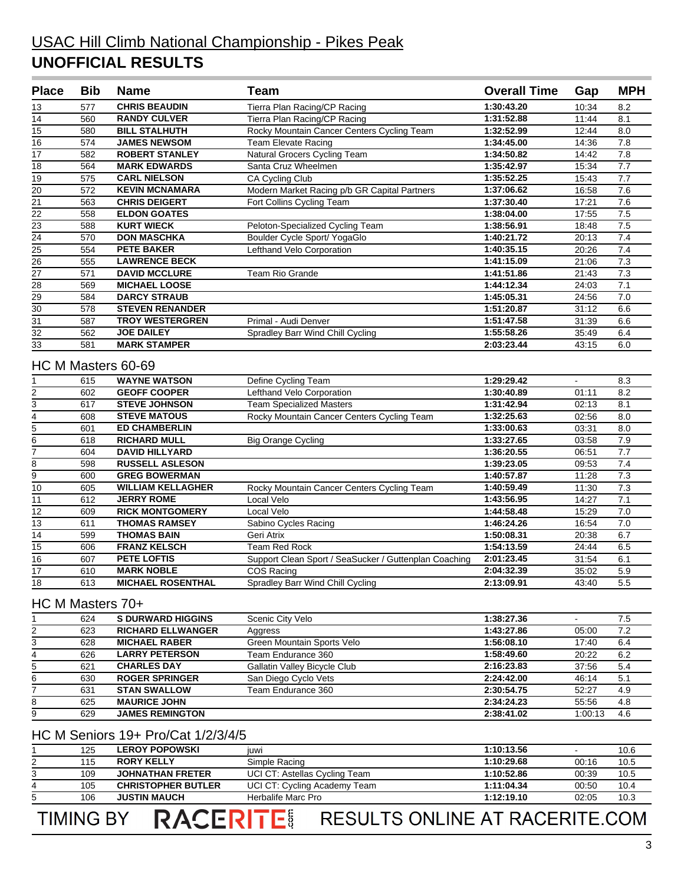#### USAC Hill Climb National Championship - Pikes Peak **UNOFFICIAL RESULTS**

| <b>Place</b>    | <b>Bib</b> | <b>Name</b>            | <b>Team</b>                                  | <b>Overall Time</b> | Gap            | <b>MPH</b>     |
|-----------------|------------|------------------------|----------------------------------------------|---------------------|----------------|----------------|
| 13              | 577        | <b>CHRIS BEAUDIN</b>   | Tierra Plan Racing/CP Racing                 | 1:30:43.20          | 10:34          | 8.2            |
| 14              | 560        | <b>RANDY CULVER</b>    | Tierra Plan Racing/CP Racing                 | 1:31:52.88          | 11:44          | 8.1            |
| 15              | 580        | <b>BILL STALHUTH</b>   | Rocky Mountain Cancer Centers Cycling Team   | 1:32:52.99          | 12:44          | 8.0            |
| 16              | 574        | <b>JAMES NEWSOM</b>    | <b>Team Elevate Racing</b>                   | 1:34:45.00          | 14:36          | 7.8            |
| $\overline{17}$ | 582        | <b>ROBERT STANLEY</b>  | Natural Grocers Cycling Team                 | 1:34:50.82          | 14:42          | 7.8            |
| 18              | 564        | <b>MARK EDWARDS</b>    | Santa Cruz Wheelmen                          | 1:35:42.97          | 15:34          | 7.7            |
| 19              | 575        | <b>CARL NIELSON</b>    | <b>CA Cycling Club</b>                       | 1:35:52.25          | 15:43          | 7.7            |
| $\overline{20}$ | 572        | <b>KEVIN MCNAMARA</b>  | Modern Market Racing p/b GR Capital Partners | 1:37:06.62          | 16:58          | 7.6            |
| 21              | 563        | <b>CHRIS DEIGERT</b>   | Fort Collins Cycling Team                    | 1:37:30.40          | 17:21          | 7.6            |
| $\overline{22}$ | 558        | <b>ELDON GOATES</b>    |                                              | 1:38:04.00          | 17:55          | 7.5            |
| $\frac{23}{24}$ | 588        | <b>KURT WIECK</b>      | Peloton-Specialized Cycling Team             | 1:38:56.91          | 18:48          | 7.5            |
|                 | 570        | <b>DON MASCHKA</b>     | Boulder Cycle Sport/ YogaGlo                 | 1:40:21.72          | 20:13          | 7.4            |
| $\overline{25}$ | 554        | <b>PETE BAKER</b>      | Lefthand Velo Corporation                    | 1:40:35.15          | 20:26          | 7.4            |
| $\frac{26}{27}$ | 555        | <b>LAWRENCE BECK</b>   |                                              | 1:41:15.09          | 21:06          | 7.3            |
|                 | 571        | <b>DAVID MCCLURE</b>   | <b>Team Rio Grande</b>                       | 1:41:51.86          | 21:43          | 7.3            |
| $\overline{28}$ | 569        | <b>MICHAEL LOOSE</b>   |                                              | 1:44:12.34          | 24:03          | 7.1            |
| $\frac{29}{30}$ | 584        | <b>DARCY STRAUB</b>    |                                              | 1:45:05.31          | 24:56          | 7.0            |
|                 | 578        | <b>STEVEN RENANDER</b> |                                              | 1:51:20.87          | 31:12          | 6.6            |
| 31              | 587        | <b>TROY WESTERGREN</b> | Primal - Audi Denver                         | 1:51:47.58          | 31:39          | 6.6            |
| $\frac{32}{33}$ | 562        | <b>JOE DAILEY</b>      | Spradley Barr Wind Chill Cycling             | 1:55:58.26          | 35:49          | 6.4            |
|                 | 581        | <b>MARK STAMPER</b>    |                                              | 2:03:23.44          | 43:15          | 6.0            |
|                 |            | HC M Masters 60-69     |                                              |                     |                |                |
|                 | 615        | <b>WAYNE WATSON</b>    | Define Cycling Team                          | 1:29:29.42          | $\blacksquare$ | 8.3            |
| 2               | 602        | <b>GEOFF COOPER</b>    | Lefthand Velo Corporation                    | 1:30:40.89          | 01:11          | 8.2            |
| 3               | 617        | <b>STEVE JOHNSON</b>   | <b>Team Specialized Masters</b>              | 1:31:42.94          | 02:13          | 8.1            |
| 4               | 608        | <b>STEVE MATOUS</b>    | Rocky Mountain Cancer Centers Cycling Team   | 1:32:25.63          | 02:56          | 8.0            |
| 5               | 601        | <b>ED CHAMBERLIN</b>   |                                              | 1:33:00.63          | 03:31          | 8.0            |
| 6               | 618        | <b>RICHARD MULL</b>    | <b>Big Orange Cycling</b>                    | 1:33:27.65          | 03:58          | 7.9            |
| $\overline{7}$  | 604        | <b>DAVID HILLYARD</b>  |                                              | 1:36:20.55          | 06:51          | 7.7            |
| $\Omega$        | FOP        | <b>DUCCELL ACLECAN</b> |                                              | 1.20.22.05          | 00.52          | 7 <sub>4</sub> |

|    | 604 | <b>DAVID HILLYARD</b>    |                                                       | 1:36:20.55 | 06:51 | 7.7 |
|----|-----|--------------------------|-------------------------------------------------------|------------|-------|-----|
| 8  | 598 | <b>RUSSELL ASLESON</b>   |                                                       | 1:39:23.05 | 09.53 | 7.4 |
| 9  | 600 | <b>GREG BOWERMAN</b>     |                                                       | 1:40:57.87 | 11:28 | 7.3 |
| 10 | 605 | <b>WILLIAM KELLAGHER</b> | Rocky Mountain Cancer Centers Cycling Team            | 1:40:59.49 | 11:30 | 7.3 |
| 11 | 612 | <b>JERRY ROME</b>        | Local Velo                                            | 1:43:56.95 | 14:27 | 7.1 |
| 12 | 609 | <b>RICK MONTGOMERY</b>   | Local Velo                                            | 1:44:58.48 | 15:29 | 7.0 |
| 13 | 611 | THOMAS RAMSEY            | Sabino Cycles Racing                                  | 1:46:24.26 | 16:54 | 7.0 |
| 14 | 599 | THOMAS BAIN              | Geri Atrix                                            | 1:50:08.31 | 20:38 | 6.7 |
| 15 | 606 | <b>FRANZ KELSCH</b>      | Team Red Rock                                         | 1:54:13.59 | 24:44 | 6.5 |
| 16 | 607 | <b>PETE LOFTIS</b>       | Support Clean Sport / SeaSucker / Guttenplan Coaching | 2:01:23.45 | 31:54 | 6.1 |
| 17 | 610 | <b>MARK NOBLE</b>        | COS Racing                                            | 2:04:32.39 | 35:02 | 5.9 |
| 18 | 613 | <b>MICHAEL ROSENTHAL</b> | Spradley Barr Wind Chill Cycling                      | 2:13:09.91 | 43:40 | 5.5 |

#### HC M Masters 70+

|   | 624 | <b>S DURWARD HIGGINS</b> | Scenic City Velo             | 1:38:27.36 |         | 7.5 |
|---|-----|--------------------------|------------------------------|------------|---------|-----|
| 2 | 623 | <b>RICHARD ELLWANGER</b> | Aggress                      | 1:43:27.86 | 05:00   | 7.2 |
| 3 | 628 | <b>MICHAEL RABER</b>     | Green Mountain Sports Velo   | 1:56:08.10 | 17:40   | 6.4 |
| 4 | 626 | <b>LARRY PETERSON</b>    | Team Endurance 360           | 1:58:49.60 | 20:22   | 6.2 |
| 5 | 621 | <b>CHARLES DAY</b>       | Gallatin Valley Bicycle Club | 2:16:23.83 | 37:56   | 5.4 |
| 6 | 630 | <b>ROGER SPRINGER</b>    | San Diego Cyclo Vets         | 2:24:42.00 | 46:14   | 5.1 |
|   | 631 | <b>STAN SWALLOW</b>      | Team Endurance 360           | 2:30:54.75 | 52:27   | 4.9 |
| 8 | 625 | <b>MAURICE JOHN</b>      |                              | 2:34:24.23 | 55:56   | 4.8 |
| 9 | 629 | <b>JAMES REMINGTON</b>   |                              | 2:38:41.02 | 1:00:13 | 4.6 |

#### HC M Seniors 19+ Pro/Cat 1/2/3/4/5

|              | 125              | <b>LEROY POPOWSKI</b>     | <b>IUWI</b>                   | 1:10:13.56                     |       | 10.6 |
|--------------|------------------|---------------------------|-------------------------------|--------------------------------|-------|------|
|              | 115              | <b>RORY KELLY</b>         | Simple Racing                 | 1:10:29.68                     | 00:16 | 10.5 |
| 3            | 109              | <b>JOHNATHAN FRETER</b>   | UCI CT: Astellas Cycling Team | 1:10:52.86                     | 00:39 | 10.5 |
| 4            | 105              | <b>CHRISTOPHER BUTLER</b> | UCI CT: Cycling Academy Team  | 1:11:04.34                     | 00:50 | 10.4 |
| $\mathbf{5}$ | 106              | <b>JUSTIN MAUCH</b>       | Herbalife Marc Pro            | 1:12:19.10                     | 02:05 | 10.3 |
|              | <b>TIMING BY</b> | <b>RACERITE!</b>          |                               | RESULTS ONLINE AT RACERITE COM |       |      |

# RESULTS ONLINE AT RACERITE.COM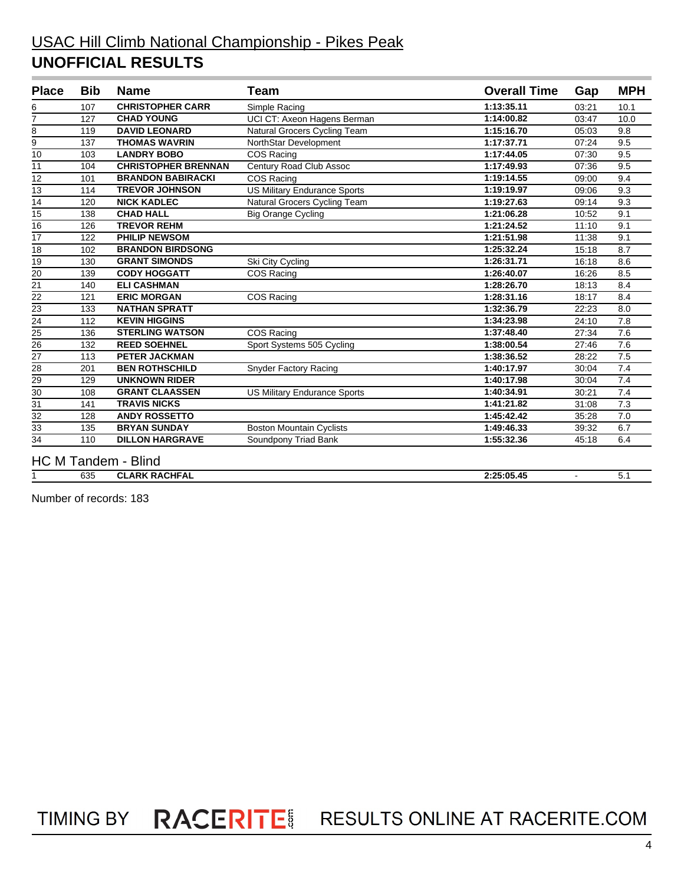#### USAC Hill Climb National Championship - Pikes Peak **UNOFFICIAL RESULTS**

| <b>Place</b>                       | <b>Bib</b> | <b>Name</b>                | Team                                | <b>Overall Time</b> | Gap   | <b>MPH</b> |
|------------------------------------|------------|----------------------------|-------------------------------------|---------------------|-------|------------|
| 6                                  | 107        | <b>CHRISTOPHER CARR</b>    | Simple Racing                       | 1:13:35.11          | 03:21 | 10.1       |
| $\overline{7}$                     | 127        | <b>CHAD YOUNG</b>          | UCI CT: Axeon Hagens Berman         | 1:14:00.82          | 03:47 | 10.0       |
| 8                                  | 119        | <b>DAVID LEONARD</b>       | Natural Grocers Cycling Team        | 1:15:16.70          | 05:03 | 9.8        |
| 9                                  | 137        | <b>THOMAS WAVRIN</b>       | NorthStar Development               | 1:17:37.71          | 07:24 | 9.5        |
| 10                                 | 103        | <b>LANDRY BOBO</b>         | COS Racing                          | 1:17:44.05          | 07:30 | 9.5        |
| $\overline{11}$                    | 104        | <b>CHRISTOPHER BRENNAN</b> | Century Road Club Assoc             | 1:17:49.93          | 07:36 | 9.5        |
| $\overline{12}$                    | 101        | <b>BRANDON BABIRACKI</b>   | COS Racing                          | 1:19:14.55          | 09:00 | 9.4        |
| $\overline{13}$                    | 114        | <b>TREVOR JOHNSON</b>      | <b>US Military Endurance Sports</b> | 1:19:19.97          | 09:06 | 9.3        |
| 14                                 | 120        | <b>NICK KADLEC</b>         | Natural Grocers Cycling Team        | 1:19:27.63          | 09:14 | 9.3        |
| 15                                 | 138        | <b>CHAD HALL</b>           | <b>Big Orange Cycling</b>           | 1:21:06.28          | 10:52 | 9.1        |
| 16                                 | 126        | <b>TREVOR REHM</b>         |                                     | 1:21:24.52          | 11:10 | 9.1        |
| 17                                 | 122        | <b>PHILIP NEWSOM</b>       |                                     | 1:21:51.98          | 11:38 | 9.1        |
| 18                                 | 102        | <b>BRANDON BIRDSONG</b>    |                                     | 1:25:32.24          | 15:18 | 8.7        |
| 19                                 | 130        | <b>GRANT SIMONDS</b>       | Ski City Cycling                    | 1:26:31.71          | 16:18 | 8.6        |
| 20                                 | 139        | <b>CODY HOGGATT</b>        | COS Racing                          | 1:26:40.07          | 16:26 | 8.5        |
| 21                                 | 140        | <b>ELI CASHMAN</b>         |                                     | 1:28:26.70          | 18:13 | 8.4        |
| 22                                 | 121        | <b>ERIC MORGAN</b>         | COS Racing                          | 1:28:31.16          | 18:17 | 8.4        |
| 23                                 | 133        | <b>NATHAN SPRATT</b>       |                                     | 1:32:36.79          | 22:23 | 8.0        |
| $\frac{24}{25}$<br>$\frac{25}{26}$ | 112        | <b>KEVIN HIGGINS</b>       |                                     | 1:34:23.98          | 24:10 | 7.8        |
|                                    | 136        | <b>STERLING WATSON</b>     | COS Racing                          | 1:37:48.40          | 27:34 | 7.6        |
|                                    | 132        | <b>REED SOEHNEL</b>        | Sport Systems 505 Cycling           | 1:38:00.54          | 27:46 | 7.6        |
| $\overline{27}$                    | 113        | <b>PETER JACKMAN</b>       |                                     | 1:38:36.52          | 28:22 | 7.5        |
| $\overline{28}$                    | 201        | <b>BEN ROTHSCHILD</b>      | <b>Snyder Factory Racing</b>        | 1:40:17.97          | 30:04 | 7.4        |
| $\overline{29}$                    | 129        | <b>UNKNOWN RIDER</b>       |                                     | 1:40:17.98          | 30:04 | 7.4        |
| $\overline{30}$                    | 108        | <b>GRANT CLAASSEN</b>      | <b>US Military Endurance Sports</b> | 1:40:34.91          | 30:21 | 7.4        |
| 31                                 | 141        | <b>TRAVIS NICKS</b>        |                                     | 1:41:21.82          | 31:08 | 7.3        |
| 32                                 | 128        | <b>ANDY ROSSETTO</b>       |                                     | 1:45:42.42          | 35:28 | 7.0        |
| 33                                 | 135        | <b>BRYAN SUNDAY</b>        | <b>Boston Mountain Cyclists</b>     | 1:49:46.33          | 39:32 | 6.7        |
| $\overline{34}$                    | 110        | <b>DILLON HARGRAVE</b>     | Soundpony Triad Bank                | 1:55:32.36          | 45:18 | 6.4        |
|                                    |            | <b>HC M Tandem - Blind</b> |                                     |                     |       |            |

635 **CLARK RACHFAL 2:25:05.45** - 5.1

Number of records: 183

TIMING BY RACERITE RESULTS ONLINE AT RACERITE.COM